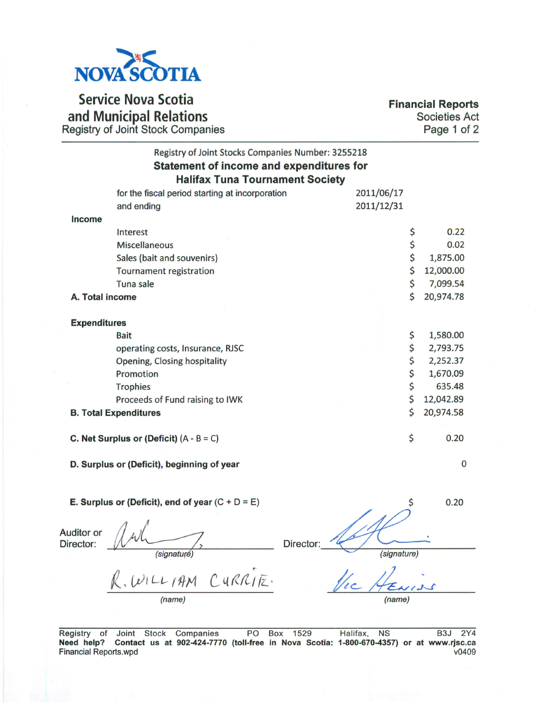

Service Nova Scotia and Municipal Relations Registry of Joint Stock Companie

Financial Reports Societies Act Page 1 of 2

|                                | Registry of Joint Stocks Companies Number: 3255218<br>Statement of income and expenditures for<br><b>Halifax Tuna Tournament Society</b> |           |             |             |  |
|--------------------------------|------------------------------------------------------------------------------------------------------------------------------------------|-----------|-------------|-------------|--|
|                                | for the fiscal period starting at incorporation                                                                                          |           | 2011/06/17  |             |  |
|                                | and ending                                                                                                                               |           | 2011/12/31  |             |  |
| Income                         |                                                                                                                                          |           |             |             |  |
|                                | Interest                                                                                                                                 |           | \$          | 0.22        |  |
|                                | <b>Miscellaneous</b>                                                                                                                     |           | \$          | 0.02        |  |
|                                | Sales (bait and souvenirs)                                                                                                               |           | \$          | 1,875.00    |  |
|                                | Tournament registration                                                                                                                  |           | \$          | 12,000.00   |  |
|                                | Tuna sale                                                                                                                                |           | \$          | 7,099.54    |  |
| A. Total income                |                                                                                                                                          |           | \$          | 20,974.78   |  |
|                                |                                                                                                                                          |           |             |             |  |
| <b>Expenditures</b>            |                                                                                                                                          |           |             |             |  |
|                                | <b>Bait</b>                                                                                                                              |           | \$          | 1,580.00    |  |
|                                | operating costs, Insurance, RJSC                                                                                                         |           | \$          | 2,793.75    |  |
|                                | Opening, Closing hospitality                                                                                                             |           | \$          | 2,252.37    |  |
|                                | Promotion                                                                                                                                |           | \$          | 1,670.09    |  |
|                                | Trophies                                                                                                                                 |           | \$          | 635.48      |  |
|                                | Proceeds of Fund raising to IWK                                                                                                          |           | \$          | 12,042.89   |  |
|                                | <b>B. Total Expenditures</b>                                                                                                             |           | \$          | 20,974.58   |  |
|                                |                                                                                                                                          |           |             |             |  |
|                                | C. Net Surplus or (Deficit) $(A - B = C)$                                                                                                |           | \$          | 0.20        |  |
|                                | D. Surplus or (Deficit), beginning of year                                                                                               |           |             | $\mathbf 0$ |  |
|                                | E. Surplus or (Deficit), end of year $(C + D = E)$                                                                                       |           |             | 0.20        |  |
| <b>Auditor or</b><br>Director: | <i>(signaturé)</i>                                                                                                                       | Director: | (signature) |             |  |
|                                | WILLIAM CURRITE.                                                                                                                         |           |             |             |  |
|                                | (name)                                                                                                                                   |           | (name)      |             |  |

Registry of Joint Stock Companies PO Box 1529 Halifax, NS B3J 2Y4 Need help? Contact us at 902-424-7770 (toll-free in Nova Scotia: 1-800-670-4357) or at www.rjsc.ca Financial Reports.wpd v0409